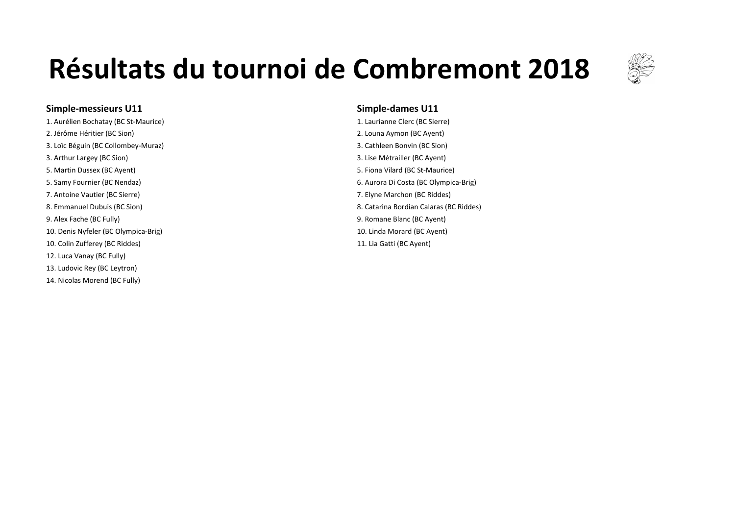

## **Simple-messieurs U11 Simple-dames U11**

1. Aurélien Bochatay (BC St-Maurice) **1. Laurianne** Clerc (BC Sierre) 2. Jérôme Héritier (BC Sion) **2.** Louna Aymon (BC Ayent) **2.** Louna Aymon (BC Ayent) 3. Loïc Béguin (BC Collombey-Muraz) 3. Loïc Béguin (BC Sion) 3. Arthur Largey (BC Sion) **3.** Lise Métrailler (BC Ayent) 3. Lise Métrailler (BC Ayent) 5. Martin Dussex (BC Ayent) 6. Martin Dussex (BC Ayent) 5. Fiona Vilard (BC St-Maurice) 7. Antoine Vautier (BC Sierre) **7.** Elyne Marchon (BC Riddes) 9. Alex Fache (BC Fully) 3. Alex Fache (BC Ayent) 9. Romane Blanc (BC Ayent) 10. Denis Nyfeler (BC Olympica-Brig) 10. Linda Morard (BC Ayent) 10. Linda Morard (BC Ayent) 10. Colin Zufferey (BC Riddes) 21. Lia Gatti (BC Ayent) 21. Lia Gatti (BC Ayent) 12. Luca Vanay (BC Fully) 13. Ludovic Rev (BC Levtron) 14. Nicolas Morend (BC Fully)

5. Samy Fournier (BC Nendaz) **6.** Aurora Di Costa (BC Olympica-Brig) 6. Aurora Di Costa (BC Olympica-Brig) 8. Emmanuel Dubuis (BC Sion) **8.** Emmanuel Dubuis (BC Sion) **8.** Catarina Bordian Calaras (BC Riddes)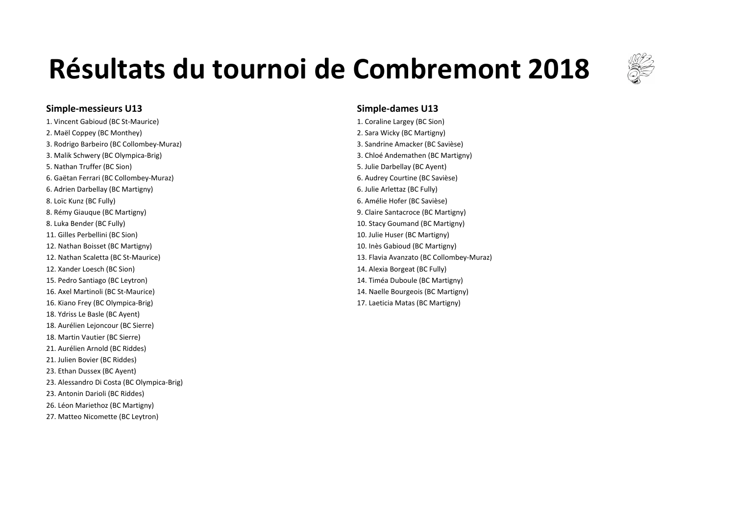

### **Simple-messieurs U13 Simple-dames U13 Simple-dames U13**

2. Maël Coppey (BC Monthey) 2. Sara Wicky (BC Martigny) 3. Rodrigo Barbeiro (BC Collombey-Muraz) and the state of the state of the state of the Savièse) 3. Sandrine Amacker (BC Savièse) 3. Malik Schwery (BC Olympica-Brig) 3. Malik Schwery (BC Martigny) 5. Nathan Truffer (BC Sion) 6. Nathan Truffer (BC Sion) 5. Julie Darbellay (BC Ayent) 6. Gaëtan Ferrari (BC Collombey-Muraz) 6. Audrey Courtine (BC Savièse) 6. Adrien Darbellay (BC Martigny) **6.** Adrien Darbellay (BC Fully) 8. Loïc Kunz (BC Fully) 6. Amélie Hofer (BC Savièse) 8. Rémy Giauque (BC Martigny) 6. The Matter of the Santacroce (BC Martigny) 9. Claire Santacroce (BC Martigny) 8. Luka Bender (BC Fully) **10.** Stacy Goumand (BC Martigny) 11. Gilles Perbellini (BC Sion) 2011 10. Julie Huser (BC Martigny) 12. Nathan Boisset (BC Martigny) 12. Nathan Boisset (BC Martigny) 10. Inès Gabioud (BC Martigny) 12. Nathan Scaletta (BC St-Maurice) 13. Flavia Avanzato (BC Collombey-Muraz) 12. Xander Loesch (BC Sion) and the state of the state of the state of the state of the state of the state of the state of the state of the state of the state of the state of the state of the state of the state of the stat 15. Pedro Santiago (BC Leytron) 15. Pedro Santiago (BC Martigny) 16. Axel Martinoli (BC St-Maurice) 16. Axel Martinoli (BC St-Maurice) 15. Axel Martigny) 16. Kiano Frey (BC Olympica-Brig) 17. Laeticia Matas (BC Martigny) 18. Ydriss Le Basle (BC Ayent) 18. Aurélien Lejoncour (BC Sierre) 18. Martin Vautier (BC Sierre) 21. Aurélien Arnold (BC Riddes) 21. Julien Bovier (BC Riddes) 23. Ethan Dussex (BC Ayent) 23. Alessandro Di Costa (BC Olympica-Brig) 23. Antonin Darioli (BC Riddes) 26. Léon Mariethoz (BC Martigny) 27. Matteo Nicomette (BC Leytron)

1. Vincent Gabioud (BC St-Maurice) **1.** Vincent Gabioud (BC Sion)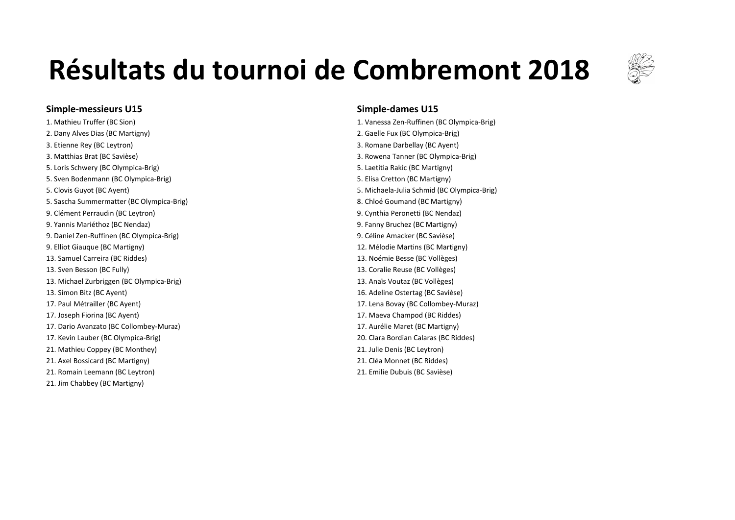

### **Simple-messieurs U15 Simple-dames U15**

2. Dany Alves Dias (BC Martigny) 2. Gaelle Fux (BC Olympica-Brig) 3. Etienne Rey (BC Leytron) **3.** Etienne Rey (BC Ayent) 3. Matthias Brat (BC Savièse) 3. November 2012 12: 13. Matthias Brat (BC Olympica-Brig) 5. Loris Schwery (BC Olympica-Brig) 6. Laetitia Rakic (BC Martigny) 5. Laetitia Rakic (BC Martigny) 5. Sven Bodenmann (BC Olympica-Brig) 6. Sven Bodenmann (BC Olympica-Brig) 5. Suite of the Suite of the Suite of the Suite of the Suite of the Suite of the Suite of the Suite of the Suite of the Suite of the Suite of the Su 5. Clovis Guyot (BC Ayent) 6. Clovis Guyot (BC Ayent) 6. Clovis Guyot (BC Olympica-Brig) 5. Michaela-Julia Schmid (BC Olympica-Brig) 5. Sascha Summermatter (BC Olympica-Brig) 6. Sascha Summermatter (BC Martigny) 8. Chloé Goumand (BC Martigny) 9. Clément Perraudin (BC Leytron) and the control of the control of the control of the control of the control of the control of the control of the control of the control of the control of the control of the control of the 9. Yannis Mariéthoz (BC Nendaz) **19. Vannis Mariéthoz (BC Martigny)** 9. Fanny Bruchez (BC Martigny) 9. Daniel Zen-Ruffinen (BC Olympica-Brig) 8. (2008) 9. Céline Amacker (BC Savièse) 9. Elliot Giauque (BC Martigny) 2. Click the Control of the Control of the Control of the Control of the Control of the Control of the Control of the Control of the Control of the Control of the Control of the Control of t 13. Samuel Carreira (BC Riddes) and the state of the state of the state of the state of the state of the state of the state of the state of the state of the state of the state of the state of the state of the state of the 13. Sven Besson (BC Fully) **13.** Coralie Reuse (BC Vollèges) 13. Michael Zurbriggen (BC Olympica-Brig) 13. Anaïs Voutaz (BC Vollèges) 13. Simon Bitz (BC Ayent) 16. Adeline Ostertag (BC Savièse) 17. Paul Métrailler (BC Ayent) 17. Lena Bovay (BC Collombey-Muraz) 17. Joseph Fiorina (BC Ayent) 17. Joseph Fiorina (BC Ayent) 17. Maeva Champod (BC Riddes) 17. Dario Avanzato (BC Collombey-Muraz) and the state of the state of the state of the state (BC Martigny) 17. Kevin Lauber (BC Olympica-Brig) 20. Clara Bordian Calaras (BC Riddes) 21. Mathieu Coppey (BC Monthey) 21. Julie Denis (BC Leytron) 21. Axel Bossicard (BC Martigny) 21. Axel Bossicard (BC Riddes) 21. Romain Leemann (BC Leytron) 21. Emilie Dubuis (BC Savièse) 21. Jim Chabbey (BC Martigny)

1. Mathieu Truffer (BC Sion) **1.** Mathieu Truffer (BC Sion) **1.** Vanessa Zen-Ruffinen (BC Olympica-Brig)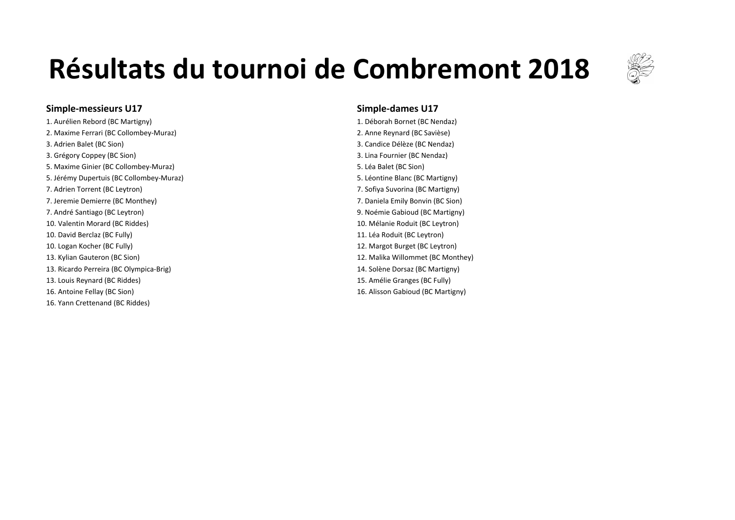

### **Simple-messieurs U17 Simple-dames U17 Simple-dames U17**

1. Aurélien Rebord (BC Martigny) 1. Déborah Bornet (BC Nendaz) 2. Maxime Ferrari (BC Collombey-Muraz) **2.** Anne Reynard (BC Savièse) 3. Adrien Balet (BC Sion) **3. Adrien Balet** (BC Nendaz) 3. Grégory Coppey (BC Sion) 2. Compared the Compared term in the Compared term in the Second Studies of the Second Studies of the Second Studies of the Second Studies of the Second Studies of the Second Studies of the Seco 5. Maxime Ginier (BC Collombey-Muraz) 6. Maxime Ginier (BC Sion) 5. Léa Balet (BC Sion) 5. Jérémy Dupertuis (BC Collombey-Muraz) 6. Léontine Blanc (BC Martigny) 7. Adrien Torrent (BC Leytron) 2. Sofiya Suvorina (BC Martigny) 7. Jeremie Demierre (BC Monthey) **7. Daniela Emily Bonvin (BC Sion)** 7. André Santiago (BC Leytron) et al. (2008) and the set of the set of the set of the Santigny of the Santigny of the Santigny of the Santigny of the Santigny of the Santigny of the Santigny of the Santigny of the Santigny 10. Valentin Morard (BC Riddes) and the state of the state of the state of the state of the state of the state of the state of the state of the state of the state of the state of the state of the state of the state of the 10. David Berclaz (BC Fully) and the state of the state of the state of the state of the state of the state of the state of the state of the state of the state of the state of the state of the state of the state of the sta 10. Logan Kocher (BC Fully) **12.** Margot Burget (BC Leytron) 13. Kylian Gauteron (BC Sion) **12.** Malika Willommet (BC Monthey) 13. Ricardo Perreira (BC Olympica-Brig) 14. Solène Dorsaz (BC Martigny) 13. Louis Reynard (BC Riddes) **15.** Amélie Granges (BC Fully) 16. Antoine Fellay (BC Sion) 16. Alisson Gabioud (BC Martigny) 16. Yann Crettenand (BC Riddes)